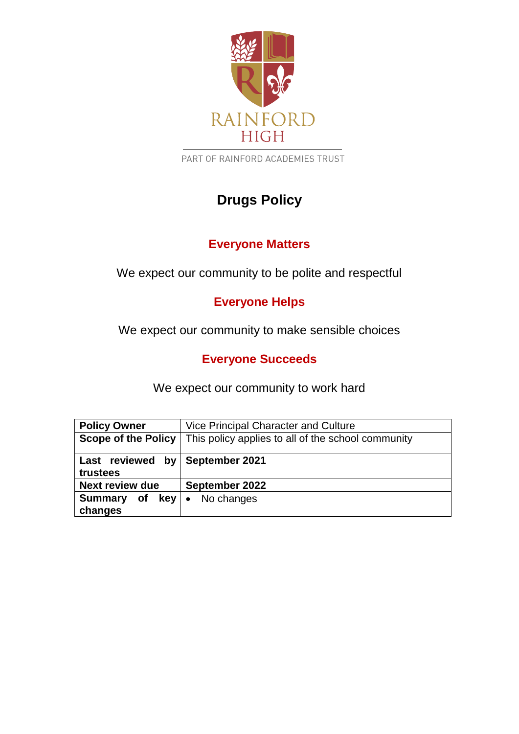

PART OF RAINFORD ACADEMIES TRUST

## **Drugs Policy**

## **Everyone Matters**

We expect our community to be polite and respectful

## **Everyone Helps**

We expect our community to make sensible choices

### **Everyone Succeeds**

We expect our community to work hard

| <b>Policy Owner</b>                           | Vice Principal Character and Culture               |
|-----------------------------------------------|----------------------------------------------------|
| <b>Scope of the Policy</b>                    | This policy applies to all of the school community |
| Last reviewed by<br>trustees                  | September 2021                                     |
| <b>Next review due</b>                        | September 2022                                     |
| <b>Summary</b><br>of<br><b>key</b><br>changes | No changes<br>$\bullet$                            |